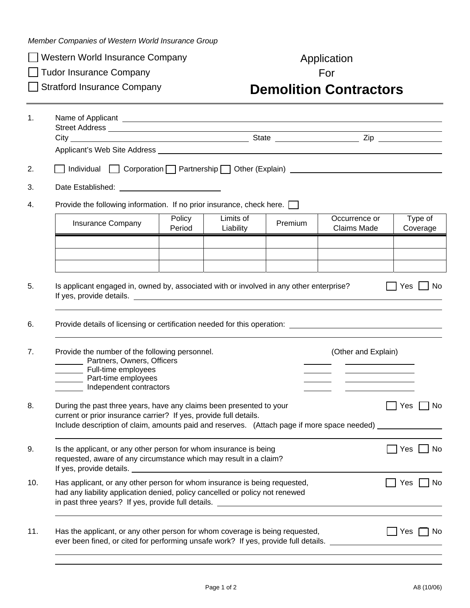*Member Companies of Western World Insurance Group* 

□ Western World Insurance Company <br>
Application

□ Tudor Insurance Company For

## Stratford Insurance Company **Demolition Contractors**

|     | Name of Applicant entry the contract of the contract of the contract of the contract of the contract of the contract of the contract of the contract of the contract of the contract of the contract of the contract of the co                   |                  |                        |         |                                     |                      |  |  |
|-----|--------------------------------------------------------------------------------------------------------------------------------------------------------------------------------------------------------------------------------------------------|------------------|------------------------|---------|-------------------------------------|----------------------|--|--|
|     |                                                                                                                                                                                                                                                  |                  |                        |         |                                     |                      |  |  |
|     |                                                                                                                                                                                                                                                  |                  |                        |         |                                     |                      |  |  |
|     |                                                                                                                                                                                                                                                  |                  |                        |         |                                     |                      |  |  |
| 4.  | Provide the following information. If no prior insurance, check here.                                                                                                                                                                            |                  |                        |         |                                     |                      |  |  |
|     | <b>Insurance Company</b>                                                                                                                                                                                                                         | Policy<br>Period | Limits of<br>Liability | Premium | Occurrence or<br><b>Claims Made</b> | Type of<br>Coverage  |  |  |
|     |                                                                                                                                                                                                                                                  |                  |                        |         |                                     |                      |  |  |
|     |                                                                                                                                                                                                                                                  |                  |                        |         |                                     |                      |  |  |
|     | Is applicant engaged in, owned by, associated with or involved in any other enterprise?<br>    Yes   _  No                                                                                                                                       |                  |                        |         |                                     |                      |  |  |
|     |                                                                                                                                                                                                                                                  |                  |                        |         |                                     |                      |  |  |
|     | Provide the number of the following personnel.<br>(Other and Explain)<br>Partners, Owners, Officers<br>Full-time employees<br>Part-time employees<br>Independent contractors                                                                     |                  |                        |         |                                     |                      |  |  |
|     | During the past three years, have any claims been presented to your<br>current or prior insurance carrier? If yes, provide full details.<br>Include description of claim, amounts paid and reserves. (Attach page if more space needed) ________ |                  |                        |         |                                     |                      |  |  |
|     | Is the applicant, or any other person for whom insurance is being<br>requested, aware of any circumstance which may result in a claim?                                                                                                           |                  |                        |         |                                     |                      |  |  |
|     |                                                                                                                                                                                                                                                  |                  |                        |         |                                     | $\Box$ Yes $\Box$ No |  |  |
| 10. | Has applicant, or any other person for whom insurance is being requested,<br>had any liability application denied, policy cancelled or policy not renewed                                                                                        |                  |                        |         |                                     | No<br>Yes            |  |  |